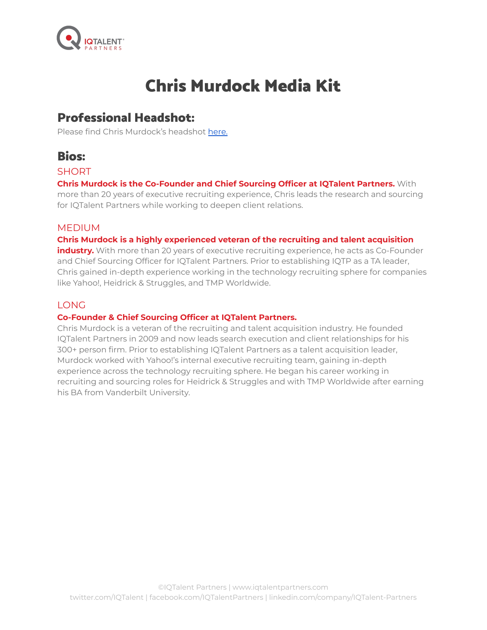

# Chris Murdock Media Kit

### Professional Headshot:

Please find Chris Murdock's headshot [here.](https://drive.google.com/drive/folders/1ZqpqinqDsZb17Utibl09kHwnYAoziVL0?usp=sharing)

### Bios:

#### **SHORT**

**Chris Murdock is the Co-Founder and Chief Sourcing Officer at IQTalent Partners.** With more than 20 years of executive recruiting experience, Chris leads the research and sourcing for IQTalent Partners while working to deepen client relations.

#### MEDIUM

**Chris Murdock is a highly experienced veteran of the recruiting and talent acquisition**

**industry.** With more than 20 years of executive recruiting experience, he acts as Co-Founder and Chief Sourcing Officer for IQTalent Partners. Prior to establishing IQTP as a TA leader, Chris gained in-depth experience working in the technology recruiting sphere for companies like Yahoo!, Heidrick & Struggles, and TMP Worldwide.

#### LONG

#### **Co-Founder & Chief Sourcing Officer at IQTalent Partners.**

Chris Murdock is a veteran of the recruiting and talent acquisition industry. He founded IQTalent Partners in 2009 and now leads search execution and client relationships for his 300+ person firm. Prior to establishing IQTalent Partners as a talent acquisition leader, Murdock worked with Yahoo!'s internal executive recruiting team, gaining in-depth experience across the technology recruiting sphere. He began his career working in recruiting and sourcing roles for Heidrick & Struggles and with TMP Worldwide after earning his BA from Vanderbilt University.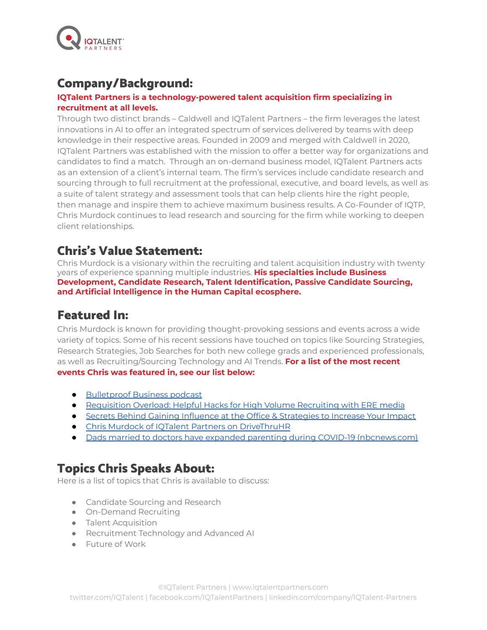

#### Company/Background:

#### **IQTalent Partners is a technology-powered talent acquisition firm specializing in recruitment at all levels.**

Through two distinct brands – Caldwell and IQTalent Partners – the firm leverages the latest innovations in AI to offer an integrated spectrum of services delivered by teams with deep knowledge in their respective areas. Founded in 2009 and merged with Caldwell in 2020, IQTalent Partners was established with the mission to offer a better way for organizations and candidates to find a match. Through an on-demand business model, IQTalent Partners acts as an extension of a client's internal team. The firm's services include candidate research and sourcing through to full recruitment at the professional, executive, and board levels, as well as a suite of talent strategy and assessment tools that can help clients hire the right people, then manage and inspire them to achieve maximum business results. A Co-Founder of IQTP, Chris Murdock continues to lead research and sourcing for the firm while working to deepen client relationships.

### Chris's Value Statement:

Chris Murdock is a visionary within the recruiting and talent acquisition industry with twenty years of experience spanning multiple industries. **His specialties include Business Development, Candidate Research, Talent Identification, Passive Candidate Sourcing, and Artificial Intelligence in the Human Capital ecosphere.**

### Featured In:

Chris Murdock is known for providing thought-provoking sessions and events across a wide variety of topics. Some of his recent sessions have touched on topics like Sourcing Strategies, Research Strategies, Job Searches for both new college grads and experienced professionals, as well as Recruiting/Sourcing Technology and AI Trends. **For a list of the most recent events Chris was featured in, see our list below:**

- [Bulletproof](https://podcasts.apple.com/us/podcast/episode-98-chris-murdock-co-founder-at-iqtalent-partners/id1476883911?i=1000541957015) Business podcast
- [Requisition](https://www.eremedia.com/webinars/requisition-overload-helpful-hacks-for-high-volume-recruiting/) Overload: Helpful Hacks for High Volume Recruiting with ERE media
- Secrets Behind Gaining Influence at the Office & [Strategies](https://us06web.zoom.us/webinar/register/WN_7QvmP6NhSiqU5jBIGpHgAA) to Increase Your Impact
- Chris Murdock of IQTalent Partners on [DriveThruHR](https://podcasts.apple.com/dz/podcast/chris-murdock-of-iqtalent-partners/id387381543?i=1000527149074)
- Dads married to doctors have expanded parenting during COVID-19 [\(nbcnews.com\)](https://www.nbcnews.com/news/us-news/dads-married-doctors-have-expanded-parenting-during-covid-19-n1231603)

# Topics Chris Speaks About:

Here is a list of topics that Chris is available to discuss:

- Candidate Sourcing and Research
- On-Demand Recruiting
- Talent Acquisition
- Recruitment Technology and Advanced AI
- Future of Work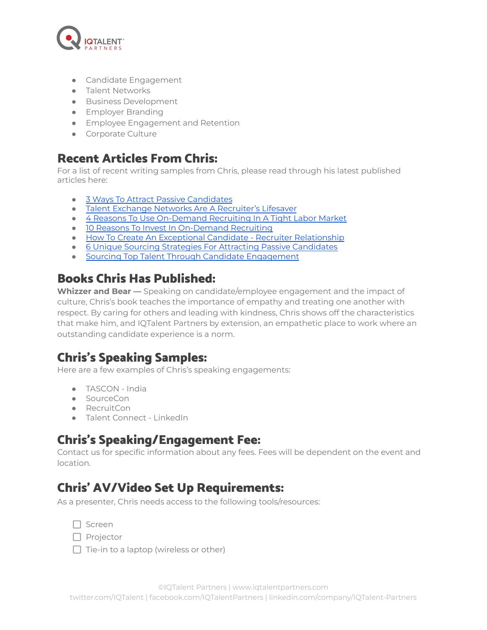

- Candidate Engagement
- Talent Networks
- Business Development
- **•** Employer Branding
- Employee Engagement and Retention
- Corporate Culture

#### Recent Articles From Chris:

For a list of recent writing samples from Chris, please read through his latest published articles here:

- 3 Ways To Attract Passive [Candidates](https://blog.iqtalentpartners.com/win-over-passive-candidates)
- Talent Exchange Networks Are A [Recruiter's](https://blog.iqtalentpartners.com/talent-exchange-networks-recruiters-lifesaver) Lifesaver
- 4 Reasons To Use [On-Demand](https://blog.iqtalentpartners.com/using-on-demand-recruiting-tight-labor-market) Recruiting In A Tight Labor Market
- 10 Reasons To Invest In [On-Demand](https://blog.iqtalentpartners.com/10-reasons-invest-on-demand-recruiting) Recruiting
- How To Create An Exceptional Candidate Recruiter [Relationship](https://blog.iqtalentpartners.com/essential-good-candidate-recruiter-relationship)
- 6 Unique Sourcing Strategies For Attracting Passive [Candidates](https://blog.iqtalentpartners.com/unique-strategies-recruiting-passive-candidates)
- Sourcing Top Talent Through Candidate [Engagement](https://blog.iqtalentpartners.com/sourcing-talent-candidate-engagement)

### Books Chris Has Published:

**Whizzer and Bear —** Speaking on candidate/employee engagement and the impact of culture, Chris's book teaches the importance of empathy and treating one another with respect. By caring for others and leading with kindness, Chris shows off the characteristics that make him, and IQTalent Partners by extension, an empathetic place to work where an outstanding candidate experience is a norm.

# Chris's Speaking Samples:

Here are a few examples of Chris's speaking engagements:

- TASCON India
- SourceCon
- RecruitCon
- Talent Connect LinkedIn

# Chris's Speaking/Engagement Fee:

Contact us for specific information about any fees. Fees will be dependent on the event and location.

# Chris' AV/Video Set Up Requirements:

As a presenter, Chris needs access to the following tools/resources:

- $\Box$  Projector
- $\Box$  Tie-in to a laptop (wireless or other)